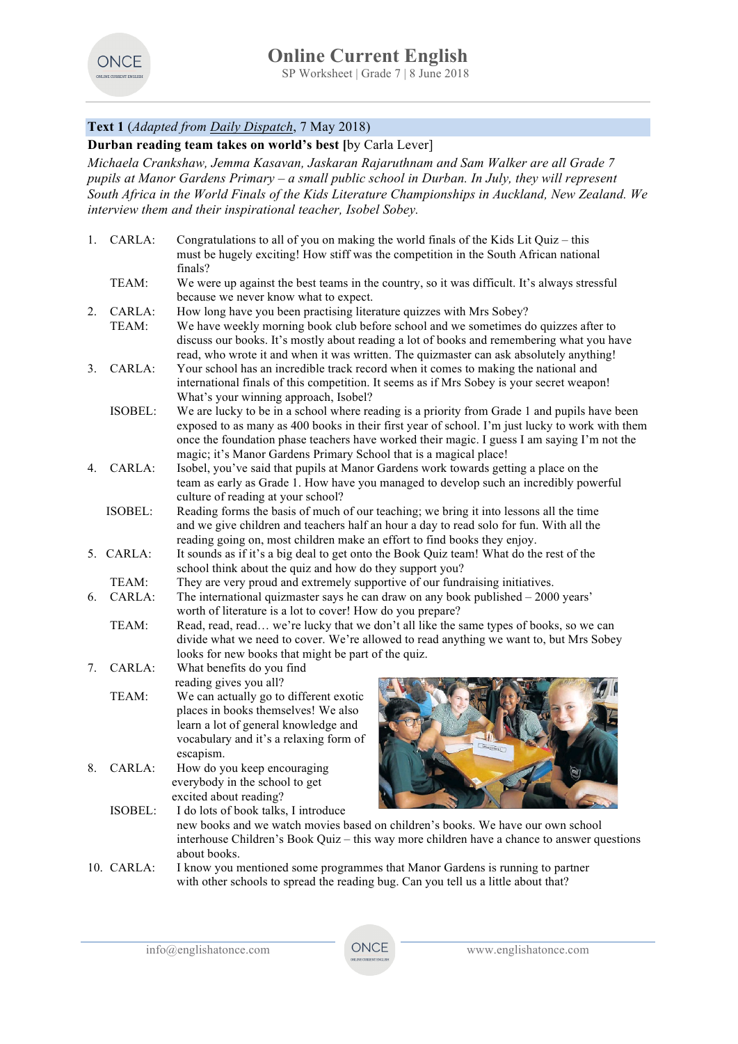

# **Text 1** (*Adapted from Daily Dispatch*, 7 May 2018)

**Durban reading team takes on world's best [**by Carla Lever]

*Michaela Crankshaw, Jemma Kasavan, Jaskaran Rajaruthnam and Sam Walker are all Grade 7 pupils at Manor Gardens Primary – a small public school in Durban. In July, they will represent South Africa in the World Finals of the Kids Literature Championships in Auckland, New Zealand. We interview them and their inspirational teacher, Isobel Sobey.*

| 1.      | CARLA:          | Congratulations to all of you on making the world finals of the Kids Lit Quiz – this<br>must be hugely exciting! How stiff was the competition in the South African national<br>finals? |
|---------|-----------------|-----------------------------------------------------------------------------------------------------------------------------------------------------------------------------------------|
|         | TEAM:           | We were up against the best teams in the country, so it was difficult. It's always stressful<br>because we never know what to expect.                                                   |
| $2_{-}$ |                 | How long have you been practising literature quizzes with Mrs Sobey?                                                                                                                    |
|         | CARLA:<br>TEAM: |                                                                                                                                                                                         |
|         |                 | We have weekly morning book club before school and we sometimes do quizzes after to<br>discuss our books. It's mostly about reading a lot of books and remembering what you have        |
|         |                 | read, who wrote it and when it was written. The quizmaster can ask absolutely anything!                                                                                                 |
| 3.      | CARLA:          | Your school has an incredible track record when it comes to making the national and                                                                                                     |
|         |                 | international finals of this competition. It seems as if Mrs Sobey is your secret weapon!                                                                                               |
|         |                 | What's your winning approach, Isobel?                                                                                                                                                   |
|         | ISOBEL:         | We are lucky to be in a school where reading is a priority from Grade 1 and pupils have been                                                                                            |
|         |                 | exposed to as many as 400 books in their first year of school. I'm just lucky to work with them                                                                                         |
|         |                 | once the foundation phase teachers have worked their magic. I guess I am saying I'm not the                                                                                             |
|         |                 | magic; it's Manor Gardens Primary School that is a magical place!                                                                                                                       |
| 4.      | CARLA:          | Isobel, you've said that pupils at Manor Gardens work towards getting a place on the                                                                                                    |
|         |                 | team as early as Grade 1. How have you managed to develop such an incredibly powerful                                                                                                   |
|         |                 | culture of reading at your school?                                                                                                                                                      |
|         | <b>ISOBEL:</b>  | Reading forms the basis of much of our teaching; we bring it into lessons all the time                                                                                                  |
|         |                 | and we give children and teachers half an hour a day to read solo for fun. With all the                                                                                                 |
|         |                 | reading going on, most children make an effort to find books they enjoy.                                                                                                                |
|         | 5. CARLA:       | It sounds as if it's a big deal to get onto the Book Quiz team! What do the rest of the                                                                                                 |
|         |                 | school think about the quiz and how do they support you?                                                                                                                                |
|         | TEAM:           | They are very proud and extremely supportive of our fundraising initiatives.                                                                                                            |
| 6.      | $CARLA$ :       | The international quizmaster says he can draw on any book published $-2000$ years'                                                                                                      |
|         |                 | worth of literature is a lot to cover! How do you prepare?                                                                                                                              |
|         | TEAM:           | Read, read, read we're lucky that we don't all like the same types of books, so we can                                                                                                  |
|         |                 | divide what we need to cover. We're allowed to read anything we want to, but Mrs Sobey                                                                                                  |
|         |                 | looks for new books that might be part of the quiz.                                                                                                                                     |
| 7.      | CARLA:          | What benefits do you find                                                                                                                                                               |
|         |                 | reading gives you all?                                                                                                                                                                  |
|         | TEAM:           | We can actually go to different exotic                                                                                                                                                  |
|         |                 | places in books themselves! We also                                                                                                                                                     |
|         |                 | learn a lot of general knowledge and<br>vocabulary and it's a relaxing form of                                                                                                          |
|         |                 | escapism.                                                                                                                                                                               |
| 8.      | CARLA:          | How do you keep encouraging                                                                                                                                                             |
|         |                 | everybody in the school to get                                                                                                                                                          |
|         |                 | excited about reading?                                                                                                                                                                  |
|         | ISOBEL:         | I do lots of book talks, I introduce                                                                                                                                                    |
|         |                 | new books and we watch movies based on children's books. We have our own school                                                                                                         |
|         |                 | interhouse Children's Book Quiz – this way more children have a chance to answer questions                                                                                              |
|         |                 | about books.                                                                                                                                                                            |

10. CARLA: I know you mentioned some programmes that Manor Gardens is running to partner with other schools to spread the reading bug. Can you tell us a little about that?

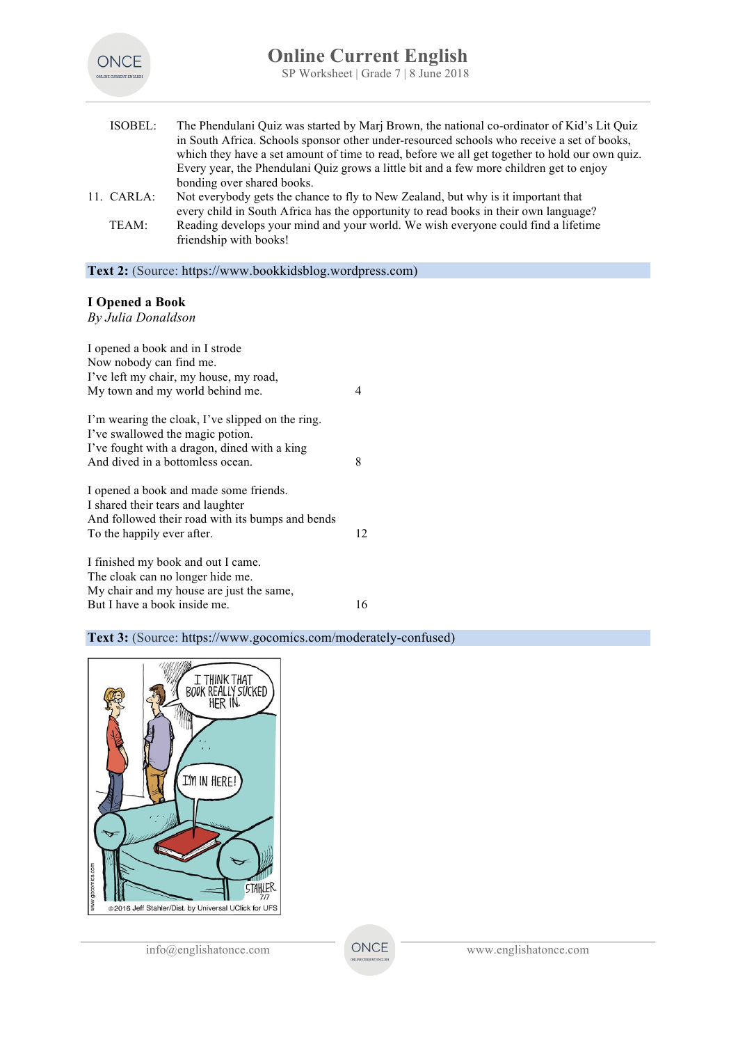

| ISOBEL:    | The Phendulani Quiz was started by Marj Brown, the national co-ordinator of Kid's Lit Quiz                  |
|------------|-------------------------------------------------------------------------------------------------------------|
|            | in South Africa. Schools sponsor other under-resourced schools who receive a set of books,                  |
|            | which they have a set amount of time to read, before we all get together to hold our own quiz.              |
|            | Every year, the Phendulani Quiz grows a little bit and a few more children get to enjoy                     |
|            | bonding over shared books.                                                                                  |
| 11. CARLA: | Not everybody gets the chance to fly to New Zealand, but why is it important that                           |
|            | every child in South Africa has the opportunity to read books in their own language?                        |
| TEAM:      | Reading develops your mind and your world. We wish everyone could find a lifetime<br>friendship with books! |

**Text 2:** (Source: https://www.bookkidsblog.wordpress.com)

# **I Opened a Book**

*By Julia Donaldson*

| I opened a book and in I strode<br>Now nobody can find me.<br>I've left my chair, my house, my road,<br>My town and my world behind me.                                  | 4  |
|--------------------------------------------------------------------------------------------------------------------------------------------------------------------------|----|
| I'm wearing the cloak, I've slipped on the ring.<br>I've swallowed the magic potion.<br>I've fought with a dragon, dined with a king<br>And dived in a bottomless ocean. | 8  |
| I opened a book and made some friends.<br>I shared their tears and laughter<br>And followed their road with its bumps and bends<br>To the happily ever after.            | 12 |
| I finished my book and out I came.<br>The cloak can no longer hide me.<br>My chair and my house are just the same,<br>But I have a book inside me.                       | 16 |

# **Text 3:** (Source: https://www.gocomics.com/moderately-confused)

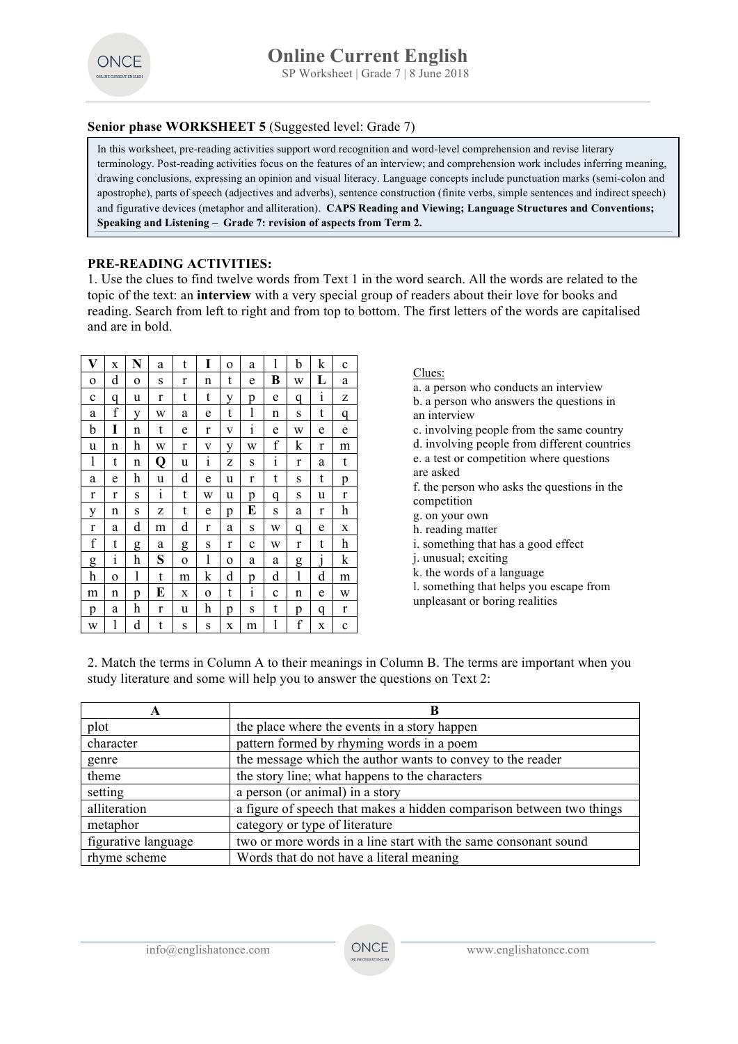

### **Senior phase WORKSHEET 5** (Suggested level: Grade 7)

In this worksheet, pre-reading activities support word recognition and word-level comprehension and revise literary terminology. Post-reading activities focus on the features of an interview; and comprehension work includes inferring meaning, drawing conclusions, expressing an opinion and visual literacy. Language concepts include punctuation marks (semi-colon and apostrophe), parts of speech (adjectives and adverbs), sentence construction (finite verbs, simple sentences and indirect speech) and figurative devices (metaphor and alliteration). **CAPS Reading and Viewing; Language Structures and Conventions; Speaking and Listening – Grade 7: revision of aspects from Term 2.**

### **PRE-READING ACTIVITIES:**

1. Use the clues to find twelve words from Text 1 in the word search. All the words are related to the topic of the text: an **interview** with a very special group of readers about their love for books and reading. Search from left to right and from top to bottom. The first letters of the words are capitalised and are in bold.

| V            | X             | N        | a | t        | I            | $\Omega$ | a            | 1            | b            | k            | $\mathbf c$  |
|--------------|---------------|----------|---|----------|--------------|----------|--------------|--------------|--------------|--------------|--------------|
| $\Omega$     | d             | $\Omega$ | S | r        | n            | t        | e            | В            | W            | L            | a            |
| $\mathbf c$  | q             | u        | r | t        | t            | V        | p            | e            | q            | $\mathbf{1}$ | z            |
| a            | f             | y        | W | a        | e            | t        | 1            | n            | S            | t            | q            |
| b            | I             | n        | t | e        | r            | V        | $\mathbf{I}$ | e            | W            | e            | e            |
| u            | n             | h        | W | r        | v            | V        | W            | f            | k            | r            | m            |
| 1            | t             | n        | Q | u        | $\mathbf{1}$ | z        | S            | $\mathbf{i}$ | r            | a            | t            |
| a            | e             | h        | u | d        | e            | u        | r            | t            | S            | t            | p            |
| r            | r             | S        | i | t        | W            | u        | p            | q            | S            | u            | $\mathbf{r}$ |
| у            | n             | S        | z | t        | e            | p        | E            | S            | a            | r            | h            |
| $\mathbf{r}$ | a             | d        | m | d        | r            | a        | S            | W            | q            | e            | X            |
| f            | t             | g        | a | g        | S            | r        | $\mathbf c$  | W            | r            | t            | h            |
| g            | $\frac{1}{1}$ | h        | S | $\Omega$ | 1            | O        | a            | a            | g            | 1            | k            |
| h            | $\Omega$      | 1        | t | m        | k            | d        | p            | d            | $\mathbf{1}$ | d            | m            |
| m            | n             | p        | E | X        | $\Omega$     | t        | $\mathbf{i}$ | $\mathbf c$  | n            | e            | W            |
| p            | a             | h        | r | u        | h            | p        | S            | t            | p            | q            | r            |
| W            | l             | d        | t | S        | S            | X        | m            | 1            | f            | X            | $\mathbf c$  |

#### Clues:

- a. a person who conducts an interview
- b. a person who answers the questions in
- an interview
- c. involving people from the same country d. involving people from different countries
- e. a test or competition where questions
- are asked f. the person who asks the questions in the competition
- g. on your own
- h. reading matter
- i. something that has a good effect
- j. unusual; exciting
- k. the words of a language
- l. something that helps you escape from
- unpleasant or boring realities

2. Match the terms in Column A to their meanings in Column B. The terms are important when you study literature and some will help you to answer the questions on Text 2:

| А                   |                                                                      |
|---------------------|----------------------------------------------------------------------|
| plot                | the place where the events in a story happen                         |
| character           | pattern formed by rhyming words in a poem                            |
| genre               | the message which the author wants to convey to the reader           |
| theme               | the story line; what happens to the characters                       |
| setting             | a person (or animal) in a story                                      |
| alliteration        | a figure of speech that makes a hidden comparison between two things |
| metaphor            | category or type of literature                                       |
| figurative language | two or more words in a line start with the same consonant sound      |
| rhyme scheme        | Words that do not have a literal meaning                             |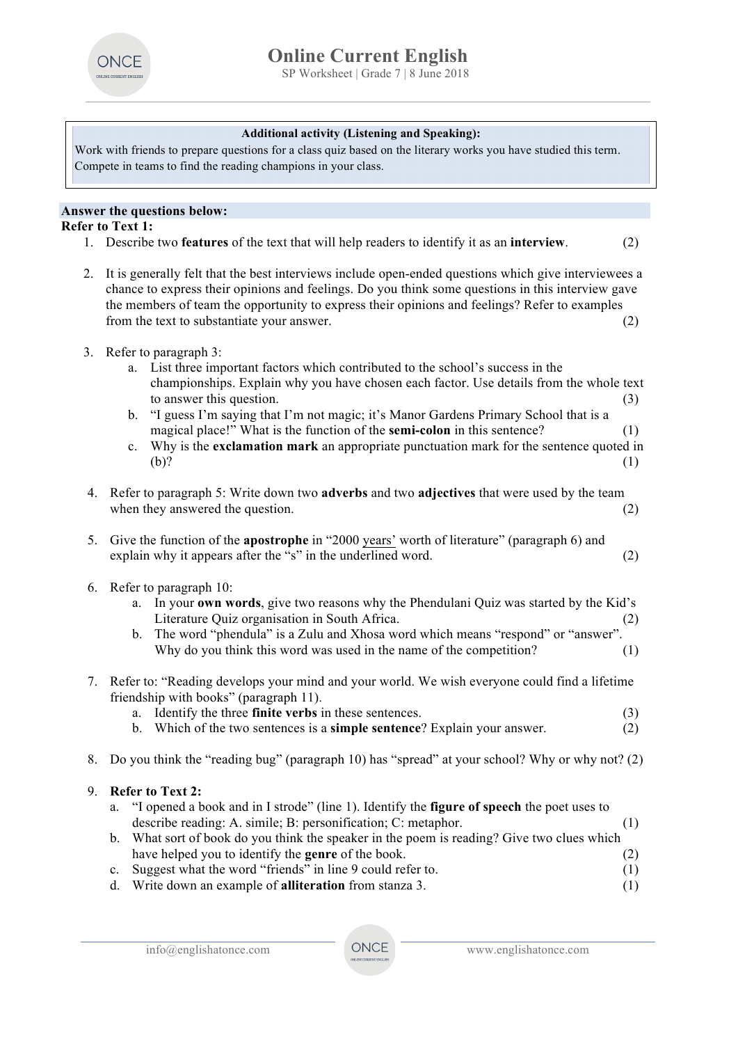

### **Additional activity (Listening and Speaking):**

Work with friends to prepare questions for a class quiz based on the literary works you have studied this term. Compete in teams to find the reading champions in your class.

#### **Answer the questions below:**

**Refer to Text 1:**

- 1. Describe two **features** of the text that will help readers to identify it as an **interview**. (2)
- 2. It is generally felt that the best interviews include open-ended questions which give interviewees a chance to express their opinions and feelings. Do you think some questions in this interview gave the members of team the opportunity to express their opinions and feelings? Refer to examples from the text to substantiate your answer. (2)
- 3. Refer to paragraph 3:
	- a. List three important factors which contributed to the school's success in the championships. Explain why you have chosen each factor. Use details from the whole text to answer this question. (3)
	- b. "I guess I'm saying that I'm not magic; it's Manor Gardens Primary School that is a magical place!" What is the function of the **semi-colon** in this sentence? (1)
	- c. Why is the **exclamation mark** an appropriate punctuation mark for the sentence quoted in  $(b)?$  (1)
- 4. Refer to paragraph 5: Write down two **adverbs** and two **adjectives** that were used by the team when they answered the question. (2)
- 5. Give the function of the **apostrophe** in "2000 years' worth of literature" (paragraph 6) and explain why it appears after the "s" in the underlined word. (2)
- 6. Refer to paragraph 10:
	- a. In your **own words**, give two reasons why the Phendulani Quiz was started by the Kid's Literature Quiz organisation in South Africa. (2)
	- b. The word "phendula" is a Zulu and Xhosa word which means "respond" or "answer". Why do you think this word was used in the name of the competition? (1)
- 7. Refer to: "Reading develops your mind and your world. We wish everyone could find a lifetime friendship with books" (paragraph 11).
	- a. Identify the three **finite verbs** in these sentences. (3)
	- b. Which of the two sentences is a **simple sentence**? Explain your answer. (2)
- 8. Do you think the "reading bug" (paragraph 10) has "spread" at your school? Why or why not? (2)
- 9. **Refer to Text 2:**
	- a. "I opened a book and in I strode" (line 1). Identify the **figure of speech** the poet uses to describe reading: A. simile; B: personification; C: metaphor. (1)
	- b. What sort of book do you think the speaker in the poem is reading? Give two clues which have helped you to identify the **genre** of the book. (2)
	- c. Suggest what the word "friends" in line 9 could refer to. (1)
	- d. Write down an example of **alliteration** from stanza 3. (1)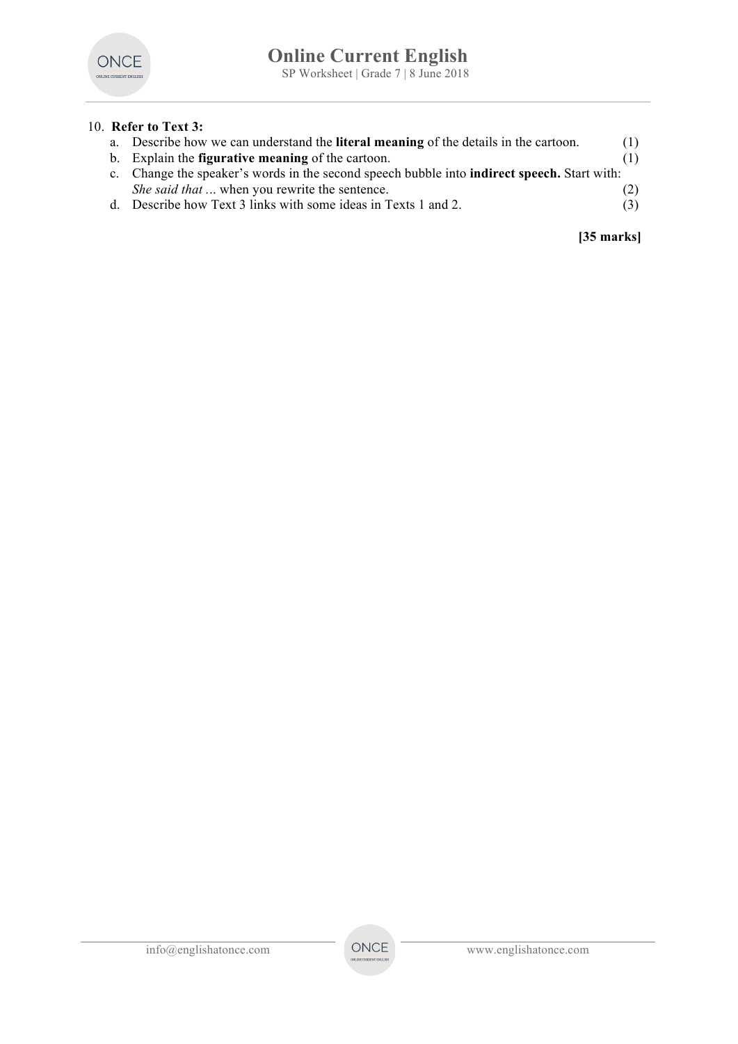

# 10. **Refer to Text 3:**

| a. Describe how we can understand the <b>literal meaning</b> of the details in the cartoon.         | (1) |
|-----------------------------------------------------------------------------------------------------|-----|
| b. Explain the <b>figurative meaning</b> of the cartoon.                                            | (1) |
| c. Change the speaker's words in the second speech bubble into <b>indirect speech</b> . Start with: |     |
| <i>She said that</i> when you rewrite the sentence.                                                 | (2) |
| d. Describe how Text 3 links with some ideas in Texts 1 and 2.                                      | (3) |

# **[35 marks]**

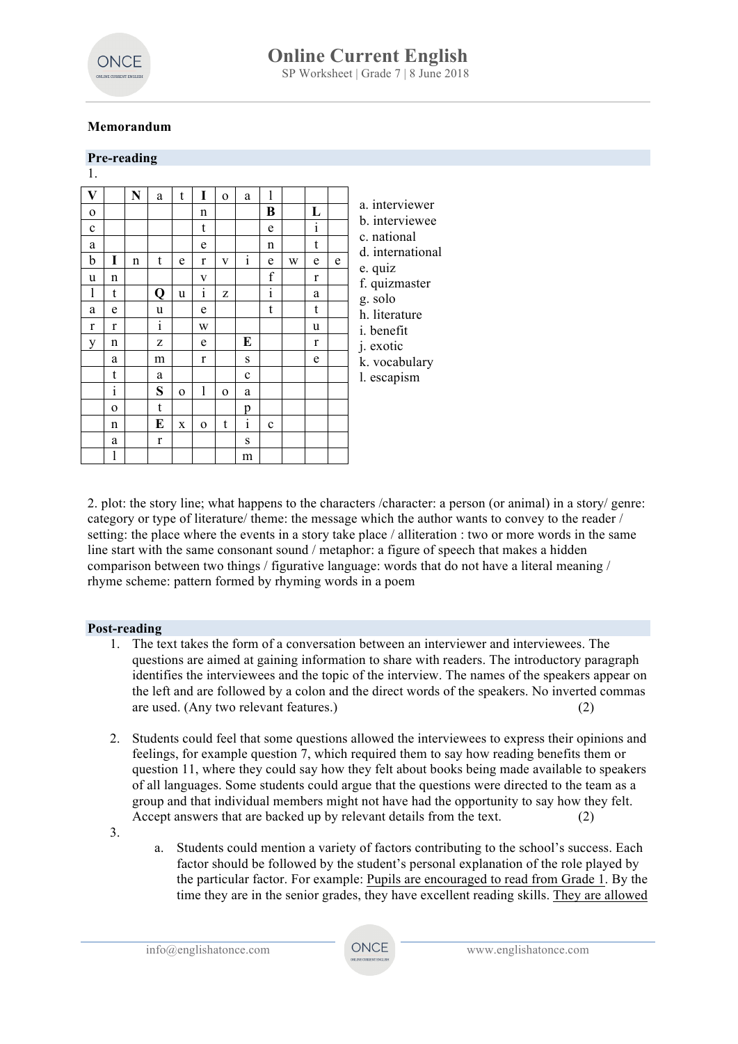

# **Memorandum**

|             |          | Pre-reading |              |              |              |          |              |                           |   |              |   |                                                |             |  |  |  |  |  |
|-------------|----------|-------------|--------------|--------------|--------------|----------|--------------|---------------------------|---|--------------|---|------------------------------------------------|-------------|--|--|--|--|--|
| 1.          |          |             |              |              |              |          |              |                           |   |              |   |                                                |             |  |  |  |  |  |
| V           |          | N           | a            | t            | I            | $\Omega$ | a            | 1                         |   |              |   |                                                |             |  |  |  |  |  |
| $\Omega$    |          |             |              |              | n            |          |              | B                         |   | L            |   | a. interviewer<br>b. interviewee               |             |  |  |  |  |  |
| $\mathbf c$ |          |             |              |              | t            |          |              | e                         |   | $\mathbf{i}$ |   |                                                | c. national |  |  |  |  |  |
| a           |          |             |              |              | e            |          |              | n                         |   | t            |   | d. international                               |             |  |  |  |  |  |
| b           | I        | n           | t            | e            | r            | V        | $\mathbf{i}$ | e                         | W | e            | e | e. quiz                                        |             |  |  |  |  |  |
| u           | n        |             |              |              | V            |          |              | f                         |   | r            |   | f. quizmaster                                  |             |  |  |  |  |  |
| 1           | t        |             | Q            | u            | $\mathbf{1}$ | Z        |              | $\bullet$<br>$\mathbf{1}$ |   | a            |   | g. solo<br>h. literature<br><i>i</i> . benefit |             |  |  |  |  |  |
| a           | e        |             | u            |              | e            |          |              | t                         |   | t            |   |                                                |             |  |  |  |  |  |
| r           | r        |             | $\rm i$      |              | W            |          |              |                           |   | u            |   |                                                |             |  |  |  |  |  |
| V           | n        |             | Z            |              | e            |          | E            |                           |   | r            |   | j. exotic                                      |             |  |  |  |  |  |
|             | a        |             | m            |              | r            |          | S            |                           |   | e            |   | k. vocabulary<br>l. escapism                   |             |  |  |  |  |  |
|             | t        |             | a            |              |              |          | $\mathbf c$  |                           |   |              |   |                                                |             |  |  |  |  |  |
|             | 1        |             | S            | $\Omega$     | 1            | $\Omega$ | a            |                           |   |              |   |                                                |             |  |  |  |  |  |
|             | $\Omega$ |             | t            |              |              |          | p            |                           |   |              |   |                                                |             |  |  |  |  |  |
|             | n        |             | E            | $\mathbf{x}$ | $\Omega$     | t        | $\mathbf{1}$ | $\mathbf{c}$              |   |              |   |                                                |             |  |  |  |  |  |
|             | a        |             | $\mathbf{r}$ |              |              |          | S            |                           |   |              |   |                                                |             |  |  |  |  |  |
|             | 1        |             |              |              |              |          | m            |                           |   |              |   |                                                |             |  |  |  |  |  |

2. plot: the story line; what happens to the characters /character: a person (or animal) in a story/ genre: category or type of literature/ theme: the message which the author wants to convey to the reader / setting: the place where the events in a story take place / alliteration : two or more words in the same line start with the same consonant sound / metaphor: a figure of speech that makes a hidden comparison between two things / figurative language: words that do not have a literal meaning / rhyme scheme: pattern formed by rhyming words in a poem

#### **Post-reading**

- 1. The text takes the form of a conversation between an interviewer and interviewees. The questions are aimed at gaining information to share with readers. The introductory paragraph identifies the interviewees and the topic of the interview. The names of the speakers appear on the left and are followed by a colon and the direct words of the speakers. No inverted commas are used. (Any two relevant features.) (2)
- 2. Students could feel that some questions allowed the interviewees to express their opinions and feelings, for example question 7, which required them to say how reading benefits them or question 11, where they could say how they felt about books being made available to speakers of all languages. Some students could argue that the questions were directed to the team as a group and that individual members might not have had the opportunity to say how they felt. Accept answers that are backed up by relevant details from the text.
- 3.
- a. Students could mention a variety of factors contributing to the school's success. Each factor should be followed by the student's personal explanation of the role played by the particular factor. For example: Pupils are encouraged to read from Grade 1. By the time they are in the senior grades, they have excellent reading skills. They are allowed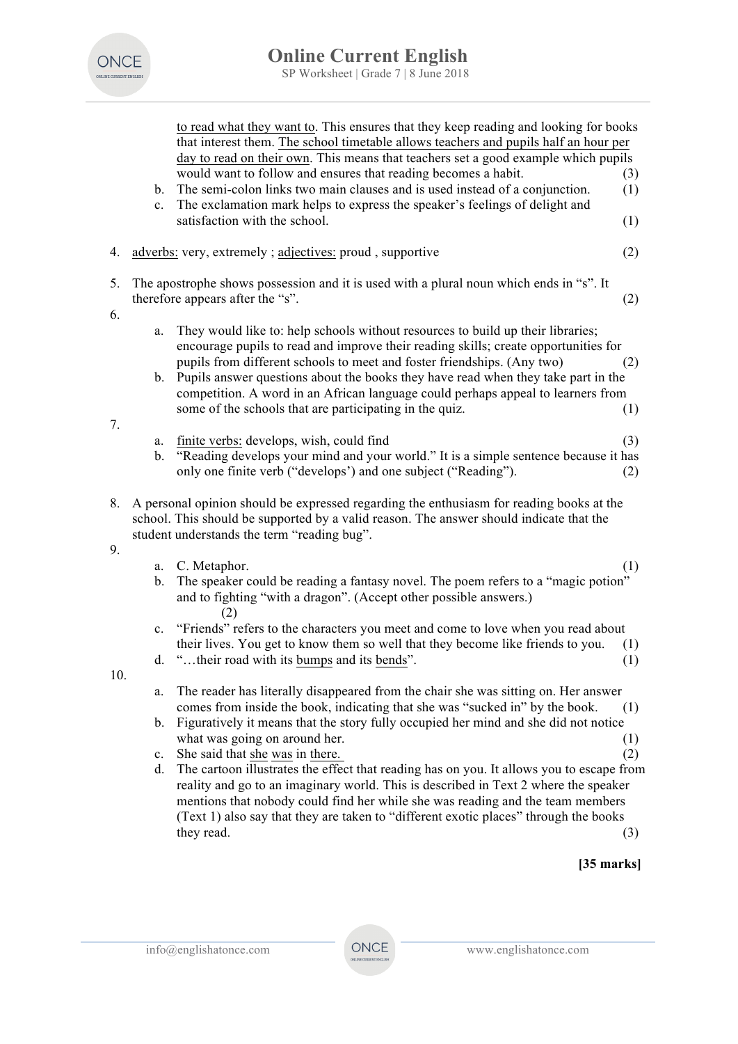

|          | b.<br>$c_{\cdot}$             | to read what they want to. This ensures that they keep reading and looking for books<br>that interest them. The school timetable allows teachers and pupils half an hour per<br>day to read on their own. This means that teachers set a good example which pupils<br>would want to follow and ensures that reading becomes a habit.<br>The semi-colon links two main clauses and is used instead of a conjunction.<br>The exclamation mark helps to express the speaker's feelings of delight and<br>satisfaction with the school.                                                                                                                                                                      | (3)<br>(1)<br>(1)        |
|----------|-------------------------------|----------------------------------------------------------------------------------------------------------------------------------------------------------------------------------------------------------------------------------------------------------------------------------------------------------------------------------------------------------------------------------------------------------------------------------------------------------------------------------------------------------------------------------------------------------------------------------------------------------------------------------------------------------------------------------------------------------|--------------------------|
| 4.       |                               | adverbs: very, extremely; adjectives: proud, supportive                                                                                                                                                                                                                                                                                                                                                                                                                                                                                                                                                                                                                                                  | (2)                      |
| 5.<br>6. |                               | The apostrophe shows possession and it is used with a plural noun which ends in "s". It<br>therefore appears after the "s".                                                                                                                                                                                                                                                                                                                                                                                                                                                                                                                                                                              | (2)                      |
|          | a.<br>$b_{-}$                 | They would like to: help schools without resources to build up their libraries;<br>encourage pupils to read and improve their reading skills; create opportunities for<br>pupils from different schools to meet and foster friendships. (Any two)<br>Pupils answer questions about the books they have read when they take part in the<br>competition. A word in an African language could perhaps appeal to learners from<br>some of the schools that are participating in the quiz.                                                                                                                                                                                                                    | (2)<br>(1)               |
| 7.       | a.<br>b.                      | finite verbs: develops, wish, could find<br>"Reading develops your mind and your world." It is a simple sentence because it has<br>only one finite verb ("develops") and one subject ("Reading").                                                                                                                                                                                                                                                                                                                                                                                                                                                                                                        | (3)<br>(2)               |
| 8.       |                               | A personal opinion should be expressed regarding the enthusiasm for reading books at the<br>school. This should be supported by a valid reason. The answer should indicate that the<br>student understands the term "reading bug".                                                                                                                                                                                                                                                                                                                                                                                                                                                                       |                          |
| 9.       | $b_{-}$                       | a. C. Metaphor.<br>The speaker could be reading a fantasy novel. The poem refers to a "magic potion"<br>and to fighting "with a dragon". (Accept other possible answers.)<br>(2)                                                                                                                                                                                                                                                                                                                                                                                                                                                                                                                         | (1)                      |
| 10.      | d.                            | c. "Friends" refers to the characters you meet and come to love when you read about<br>their lives. You get to know them so well that they become like friends to you.<br>" their road with its bumps and its bends".                                                                                                                                                                                                                                                                                                                                                                                                                                                                                    | (1)<br>(1)               |
|          | a.<br>b.<br>$c_{\cdot}$<br>d. | The reader has literally disappeared from the chair she was sitting on. Her answer<br>comes from inside the book, indicating that she was "sucked in" by the book.<br>Figuratively it means that the story fully occupied her mind and she did not notice<br>what was going on around her.<br>She said that she was in there.<br>The cartoon illustrates the effect that reading has on you. It allows you to escape from<br>reality and go to an imaginary world. This is described in Text 2 where the speaker<br>mentions that nobody could find her while she was reading and the team members<br>(Text 1) also say that they are taken to "different exotic places" through the books<br>they read. | (1)<br>(1)<br>(2)<br>(3) |
|          |                               | $[35$ marks]                                                                                                                                                                                                                                                                                                                                                                                                                                                                                                                                                                                                                                                                                             |                          |